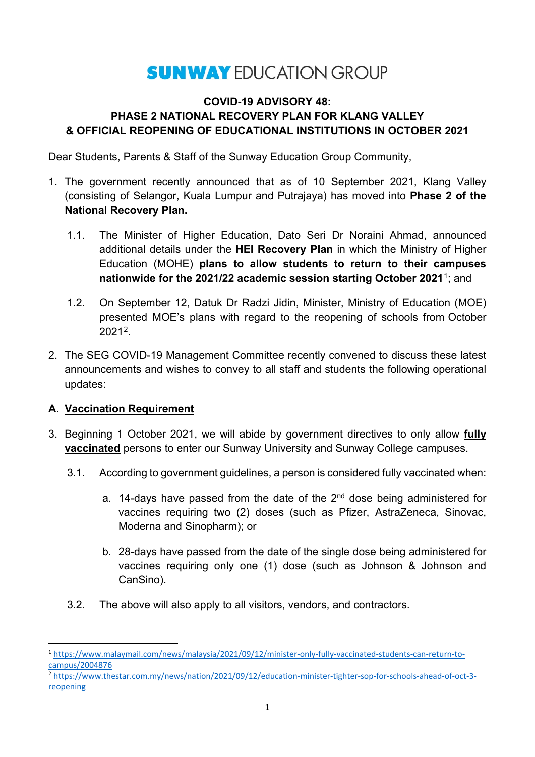# **SUNWAY EDUCATION GROUP**

#### **COVID-19 ADVISORY 48: PHASE 2 NATIONAL RECOVERY PLAN FOR KLANG VALLEY & OFFICIAL REOPENING OF EDUCATIONAL INSTITUTIONS IN OCTOBER 2021**

Dear Students, Parents & Staff of the Sunway Education Group Community,

- 1. The government recently announced that as of 10 September 2021, Klang Valley (consisting of Selangor, Kuala Lumpur and Putrajaya) has moved into **Phase 2 of the National Recovery Plan.**
	- 1.1. The Minister of Higher Education, Dato Seri Dr Noraini Ahmad, announced additional details under the **HEI Recovery Plan** in which the Ministry of Higher Education (MOHE) **plans to allow students to return to their campuses nationwide for the 2021/22 academic session starting October 2021**[1](#page-0-0); and
	- 1.2. On September 12, Datuk Dr Radzi Jidin, Minister, Ministry of Education (MOE) presented MOE's plans with regard to the reopening of schools from October 2021[2](#page-0-1).
- 2. The SEG COVID-19 Management Committee recently convened to discuss these latest announcements and wishes to convey to all staff and students the following operational updates:

### **A. Vaccination Requirement**

- 3. Beginning 1 October 2021, we will abide by government directives to only allow **fully vaccinated** persons to enter our Sunway University and Sunway College campuses.
	- 3.1. According to government guidelines, a person is considered fully vaccinated when:
		- a. 14-days have passed from the date of the  $2<sup>nd</sup>$  dose being administered for vaccines requiring two (2) doses (such as Pfizer, AstraZeneca, Sinovac, Moderna and Sinopharm); or
		- b. 28-days have passed from the date of the single dose being administered for vaccines requiring only one (1) dose (such as Johnson & Johnson and CanSino).
	- 3.2. The above will also apply to all visitors, vendors, and contractors.

<span id="page-0-0"></span> <sup>1</sup> [https://www.malaymail.com/news/malaysia/2021/09/12/minister-only-fully-vaccinated-students-can-return-to](https://www.malaymail.com/news/malaysia/2021/09/12/minister-only-fully-vaccinated-students-can-return-to-campus/2004876)[campus/2004876](https://www.malaymail.com/news/malaysia/2021/09/12/minister-only-fully-vaccinated-students-can-return-to-campus/2004876)

<span id="page-0-1"></span><sup>2</sup> [https://www.thestar.com.my/news/nation/2021/09/12/education-minister-tighter-sop-for-schools-ahead-of-oct-3](https://www.thestar.com.my/news/nation/2021/09/12/education-minister-tighter-sop-for-schools-ahead-of-oct-3-reopening) [reopening](https://www.thestar.com.my/news/nation/2021/09/12/education-minister-tighter-sop-for-schools-ahead-of-oct-3-reopening)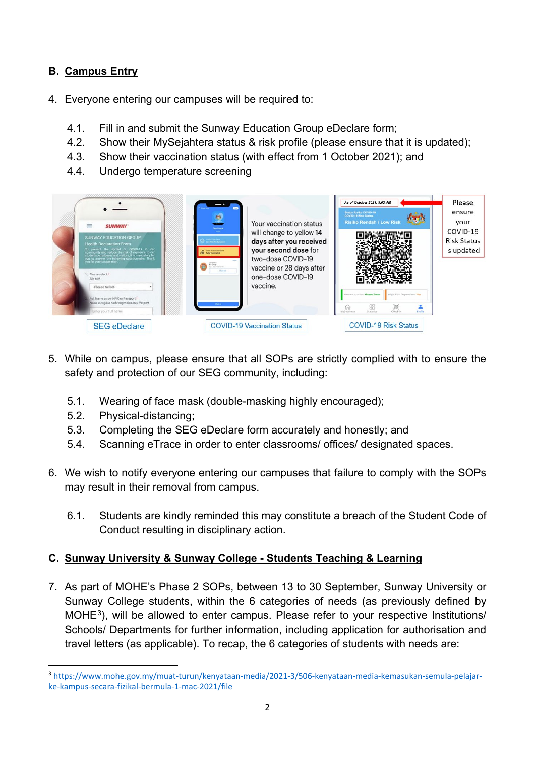# **B. Campus Entry**

- 4. Everyone entering our campuses will be required to:
	- 4.1. Fill in and submit the Sunway Education Group eDeclare form;
	- 4.2. Show their MySejahtera status & risk profile (please ensure that it is updated);
	- 4.3. Show their vaccination status (with effect from 1 October 2021); and
	- 4.4. Undergo temperature screening



- 5. While on campus, please ensure that all SOPs are strictly complied with to ensure the safety and protection of our SEG community, including:
	- 5.1. Wearing of face mask (double-masking highly encouraged);
	- 5.2. Physical-distancing;
	- 5.3. Completing the SEG eDeclare form accurately and honestly; and
	- 5.4. Scanning eTrace in order to enter classrooms/ offices/ designated spaces.
- 6. We wish to notify everyone entering our campuses that failure to comply with the SOPs may result in their removal from campus.
	- 6.1. Students are kindly reminded this may constitute a breach of the Student Code of Conduct resulting in disciplinary action.

### **C. Sunway University & Sunway College - Students Teaching & Learning**

7. As part of MOHE's Phase 2 SOPs, between 13 to 30 September, Sunway University or Sunway College students, within the 6 categories of needs (as previously defined by MOH[E3\)](#page-1-0), will be allowed to enter campus. Please refer to your respective Institutions/ Schools/ Departments for further information, including application for authorisation and travel letters (as applicable). To recap, the 6 categories of students with needs are:

<span id="page-1-0"></span> <sup>3</sup> [https://www.mohe.gov.my/muat-turun/kenyataan-media/2021-3/506-kenyataan-media-kemasukan-semula-pelajar](https://www.mohe.gov.my/muat-turun/kenyataan-media/2021-3/506-kenyataan-media-kemasukan-semula-pelajar-ke-kampus-secara-fizikal-bermula-1-mac-2021/file)[ke-kampus-secara-fizikal-bermula-1-mac-2021/file](https://www.mohe.gov.my/muat-turun/kenyataan-media/2021-3/506-kenyataan-media-kemasukan-semula-pelajar-ke-kampus-secara-fizikal-bermula-1-mac-2021/file)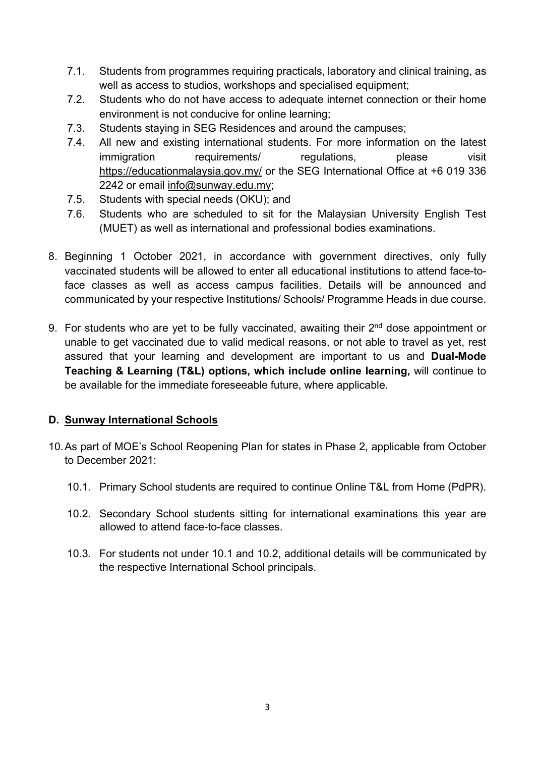- 7.1. Students from programmes requiring practicals, laboratory and clinical training, as well as access to studios, workshops and specialised equipment;
- 7.2. Students who do not have access to adequate internet connection or their home environment is not conducive for online learning;
- 7.3. Students staying in SEG Residences and around the campuses;
- 7.4. All new and existing international students. For more information on the latest immigration requirements/ regulations, please visit <https://educationmalaysia.gov.my/> or the SEG International Office at +6 019 336 2242 or email [info@sunway.edu.my;](mailto:info@sunway.edu.my)
- 7.5. Students with special needs (OKU); and
- 7.6. Students who are scheduled to sit for the Malaysian University English Test (MUET) as well as international and professional bodies examinations.
- 8. Beginning 1 October 2021, in accordance with government directives, only fully vaccinated students will be allowed to enter all educational institutions to attend face-toface classes as well as access campus facilities. Details will be announced and communicated by your respective Institutions/ Schools/ Programme Heads in due course.
- 9. For students who are yet to be fully vaccinated, awaiting their 2<sup>nd</sup> dose appointment or unable to get vaccinated due to valid medical reasons, or not able to travel as yet, rest assured that your learning and development are important to us and **Dual-Mode Teaching & Learning (T&L) options, which include online learning,** will continue to be available for the immediate foreseeable future, where applicable.

#### **D. Sunway International Schools**

- 10.As part of MOE's School Reopening Plan for states in Phase 2, applicable from October to December 2021:
	- 10.1. Primary School students are required to continue Online T&L from Home (PdPR).
	- 10.2. Secondary School students sitting for international examinations this year are allowed to attend face-to-face classes.
	- 10.3. For students not under 10.1 and 10.2, additional details will be communicated by the respective International School principals.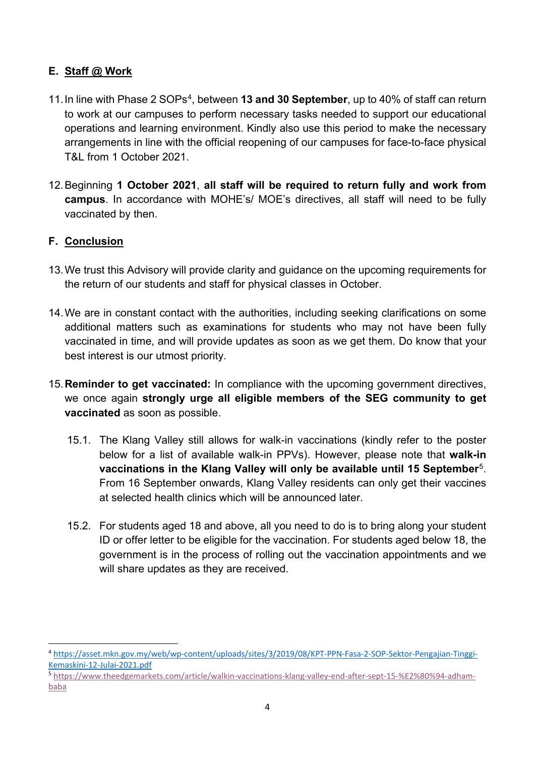### **E. Staff @ Work**

- 11.In line with Phase 2 SOPs[4](#page-3-0), between **13 and 30 September**, up to 40% of staff can return to work at our campuses to perform necessary tasks needed to support our educational operations and learning environment. Kindly also use this period to make the necessary arrangements in line with the official reopening of our campuses for face-to-face physical T&L from 1 October 2021.
- 12.Beginning **1 October 2021**, **all staff will be required to return fully and work from campus**. In accordance with MOHE's/ MOE's directives, all staff will need to be fully vaccinated by then.

## **F. Conclusion**

- 13.We trust this Advisory will provide clarity and guidance on the upcoming requirements for the return of our students and staff for physical classes in October.
- 14.We are in constant contact with the authorities, including seeking clarifications on some additional matters such as examinations for students who may not have been fully vaccinated in time, and will provide updates as soon as we get them. Do know that your best interest is our utmost priority.
- 15.**Reminder to get vaccinated:** In compliance with the upcoming government directives, we once again **strongly urge all eligible members of the SEG community to get vaccinated** as soon as possible.
	- 15.1. The Klang Valley still allows for walk-in vaccinations (kindly refer to the poster below for a list of available walk-in PPVs). However, please note that **walk-in vaccinations in the Klang Valley will only be available until 15 September**[5.](#page-3-1) From 16 September onwards, Klang Valley residents can only get their vaccines at selected health clinics which will be announced later.
	- 15.2. For students aged 18 and above, all you need to do is to bring along your student ID or offer letter to be eligible for the vaccination. For students aged below 18, the government is in the process of rolling out the vaccination appointments and we will share updates as they are received.

<span id="page-3-0"></span> <sup>4</sup> [https://asset.mkn.gov.my/web/wp-content/uploads/sites/3/2019/08/KPT-PPN-Fasa-2-SOP-Sektor-Pengajian-Tinggi-](https://asset.mkn.gov.my/web/wp-content/uploads/sites/3/2019/08/KPT-PPN-Fasa-2-SOP-Sektor-Pengajian-Tinggi-Kemaskini-12-Julai-2021.pdf)[Kemaskini-12-Julai-2021.pdf](https://asset.mkn.gov.my/web/wp-content/uploads/sites/3/2019/08/KPT-PPN-Fasa-2-SOP-Sektor-Pengajian-Tinggi-Kemaskini-12-Julai-2021.pdf)

<span id="page-3-1"></span><sup>5</sup> [https://www.theedgemarkets.com/article/walkin-vaccinations-klang-valley-end-after-sept-15-%E2%80%94-adham](https://www.theedgemarkets.com/article/walkin-vaccinations-klang-valley-end-after-sept-15-%E2%80%94-adham-baba)[baba](https://www.theedgemarkets.com/article/walkin-vaccinations-klang-valley-end-after-sept-15-%E2%80%94-adham-baba)